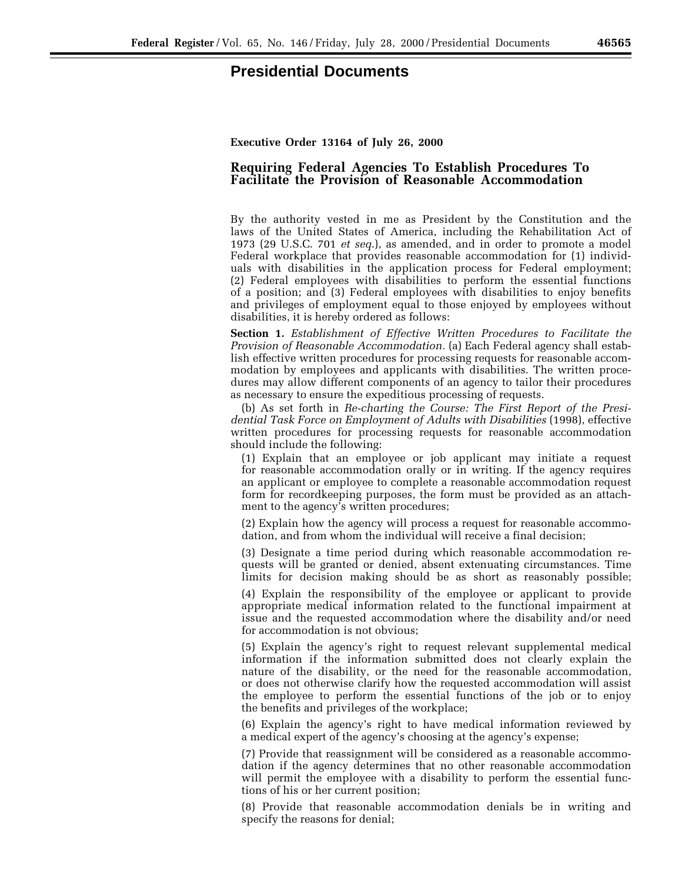## **Presidential Documents**

**Executive Order 13164 of July 26, 2000**

## **Requiring Federal Agencies To Establish Procedures To Facilitate the Provision of Reasonable Accommodation**

By the authority vested in me as President by the Constitution and the laws of the United States of America, including the Rehabilitation Act of 1973 (29 U.S.C. 701 *et seq*.), as amended, and in order to promote a model Federal workplace that provides reasonable accommodation for (1) individuals with disabilities in the application process for Federal employment; (2) Federal employees with disabilities to perform the essential functions of a position; and (3) Federal employees with disabilities to enjoy benefits and privileges of employment equal to those enjoyed by employees without disabilities, it is hereby ordered as follows:

**Section 1.** *Establishment of Effective Written Procedures to Facilitate the Provision of Reasonable Accommodation.* (a) Each Federal agency shall establish effective written procedures for processing requests for reasonable accommodation by employees and applicants with disabilities. The written procedures may allow different components of an agency to tailor their procedures as necessary to ensure the expeditious processing of requests.

(b) As set forth in *Re-charting the Course: The First Report of the Presidential Task Force on Employment of Adults with Disabilities* (1998), effective written procedures for processing requests for reasonable accommodation should include the following:

(1) Explain that an employee or job applicant may initiate a request for reasonable accommodation orally or in writing. If the agency requires an applicant or employee to complete a reasonable accommodation request form for recordkeeping purposes, the form must be provided as an attachment to the agency's written procedures;

(2) Explain how the agency will process a request for reasonable accommodation, and from whom the individual will receive a final decision;

(3) Designate a time period during which reasonable accommodation requests will be granted or denied, absent extenuating circumstances. Time limits for decision making should be as short as reasonably possible;

(4) Explain the responsibility of the employee or applicant to provide appropriate medical information related to the functional impairment at issue and the requested accommodation where the disability and/or need for accommodation is not obvious;

(5) Explain the agency's right to request relevant supplemental medical information if the information submitted does not clearly explain the nature of the disability, or the need for the reasonable accommodation, or does not otherwise clarify how the requested accommodation will assist the employee to perform the essential functions of the job or to enjoy the benefits and privileges of the workplace;

(6) Explain the agency's right to have medical information reviewed by a medical expert of the agency's choosing at the agency's expense;

(7) Provide that reassignment will be considered as a reasonable accommodation if the agency determines that no other reasonable accommodation will permit the employee with a disability to perform the essential functions of his or her current position;

(8) Provide that reasonable accommodation denials be in writing and specify the reasons for denial;